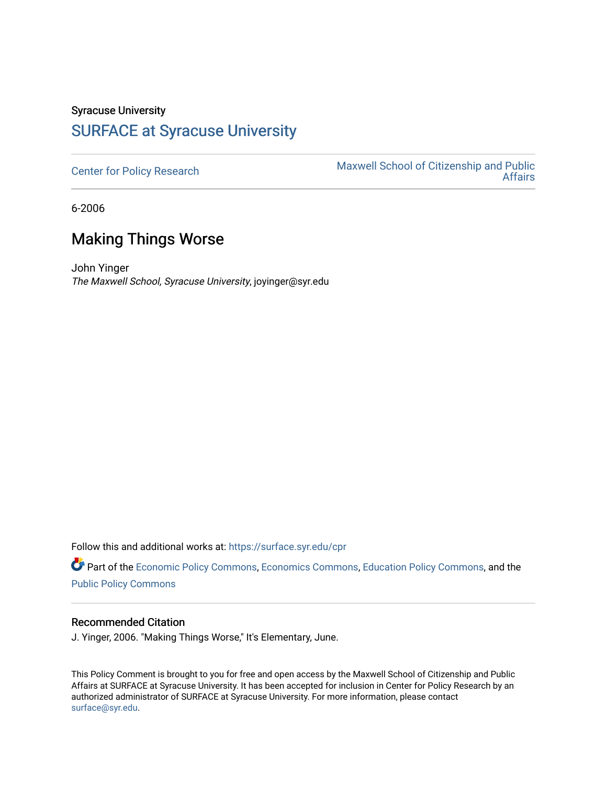## Syracuse University [SURFACE at Syracuse University](https://surface.syr.edu/)

[Center for Policy Research](https://surface.syr.edu/cpr) Maxwell School of Citizenship and Public [Affairs](https://surface.syr.edu/maxwell) 

6-2006

## Making Things Worse

John Yinger The Maxwell School, Syracuse University, joyinger@syr.edu

Follow this and additional works at: [https://surface.syr.edu/cpr](https://surface.syr.edu/cpr?utm_source=surface.syr.edu%2Fcpr%2F329&utm_medium=PDF&utm_campaign=PDFCoverPages) 

Part of the [Economic Policy Commons](http://network.bepress.com/hgg/discipline/1025?utm_source=surface.syr.edu%2Fcpr%2F329&utm_medium=PDF&utm_campaign=PDFCoverPages), [Economics Commons,](http://network.bepress.com/hgg/discipline/340?utm_source=surface.syr.edu%2Fcpr%2F329&utm_medium=PDF&utm_campaign=PDFCoverPages) [Education Policy Commons](http://network.bepress.com/hgg/discipline/1026?utm_source=surface.syr.edu%2Fcpr%2F329&utm_medium=PDF&utm_campaign=PDFCoverPages), and the [Public Policy Commons](http://network.bepress.com/hgg/discipline/400?utm_source=surface.syr.edu%2Fcpr%2F329&utm_medium=PDF&utm_campaign=PDFCoverPages)

## Recommended Citation

J. Yinger, 2006. "Making Things Worse," It's Elementary, June.

This Policy Comment is brought to you for free and open access by the Maxwell School of Citizenship and Public Affairs at SURFACE at Syracuse University. It has been accepted for inclusion in Center for Policy Research by an authorized administrator of SURFACE at Syracuse University. For more information, please contact [surface@syr.edu.](mailto:surface@syr.edu)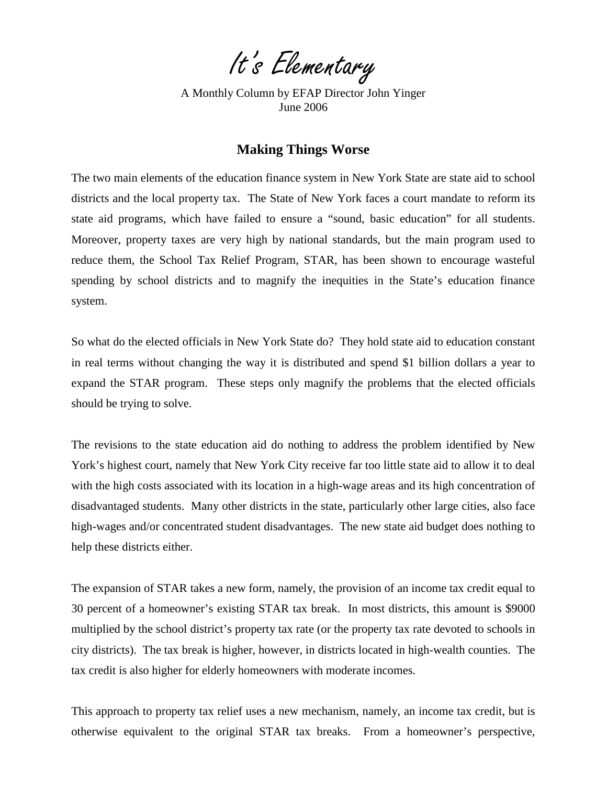It's Elementary

A Monthly Column by EFAP Director John Yinger June 2006

## **Making Things Worse**

The two main elements of the education finance system in New York State are state aid to school districts and the local property tax. The State of New York faces a court mandate to reform its state aid programs, which have failed to ensure a "sound, basic education" for all students. Moreover, property taxes are very high by national standards, but the main program used to reduce them, the School Tax Relief Program, STAR, has been shown to encourage wasteful spending by school districts and to magnify the inequities in the State's education finance system.

So what do the elected officials in New York State do? They hold state aid to education constant in real terms without changing the way it is distributed and spend \$1 billion dollars a year to expand the STAR program. These steps only magnify the problems that the elected officials should be trying to solve.

The revisions to the state education aid do nothing to address the problem identified by New York's highest court, namely that New York City receive far too little state aid to allow it to deal with the high costs associated with its location in a high-wage areas and its high concentration of disadvantaged students. Many other districts in the state, particularly other large cities, also face high-wages and/or concentrated student disadvantages. The new state aid budget does nothing to help these districts either.

The expansion of STAR takes a new form, namely, the provision of an income tax credit equal to 30 percent of a homeowner's existing STAR tax break. In most districts, this amount is \$9000 multiplied by the school district's property tax rate (or the property tax rate devoted to schools in city districts). The tax break is higher, however, in districts located in high-wealth counties. The tax credit is also higher for elderly homeowners with moderate incomes.

This approach to property tax relief uses a new mechanism, namely, an income tax credit, but is otherwise equivalent to the original STAR tax breaks. From a homeowner's perspective,